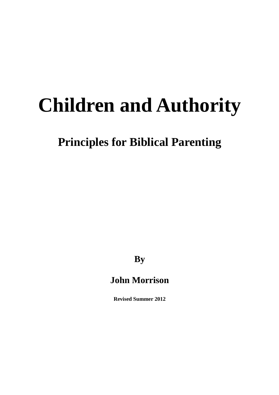# **Children and Authority**

**Principles for Biblical Parenting** 

**By** 

## **John Morrison**

**Revised Summer 2012**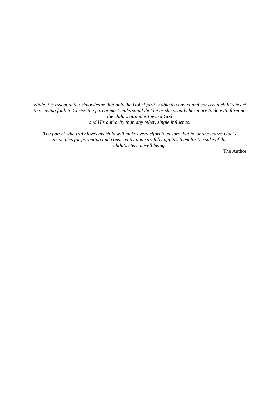*While it is essential to acknowledge that only the Holy Spirit is able to convict and convert a child's heart to a saving faith in Christ, the parent must understand that he or she usually has more to do with forming the child's attitudes toward God and His authority than any other, single influence.* 

*The parent who truly loves his child will make every effort to ensure that he or she learns God's principles for parenting and consistently and carefully applies them for the sake of the child's eternal well being.* 

The Author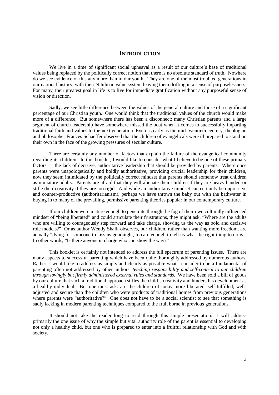#### **INTRODUCTION**

We live in a time of significant social upheaval as a result of our culture's base of traditional values being replaced by the politically correct notion that there is no absolute standard of truth. Nowhere do we see evidence of this any more than in our youth. They are one of the most troubled generations in our national history, with their Nihilistic value system leaving them drifting in a sense of purposelessness. For many, their greatest goal in life is to live for immediate gratification without any purposeful sense of vision or direction.

Sadly, we see little difference between the values of the general culture and those of a significant percentage of our Christian youth. One would think that the traditional values of the church would make more of a difference. But somewhere there has been a disconnect: many Christian parents and a large segment of church leadership have somewhere missed the boat when it comes to successfully imparting traditional faith and values to the next generation. Even as early as the mid-twentieth century, theologian and philosopher Frances Schaeffer observed that the children of evangelicals were ill prepared to stand on their own in the face of the growing pressures of secular culture.

There are certainly any number of factors that explain the failure of the evangelical community regarding its children. In this booklet, I would like to consider what I believe to be one of these primary factors — the lack of decisive, authoritative leadership that should be provided by parents. Where once parents were unapologetically and boldly authoritative, providing crucial leadership for their children, now they seem intimidated by the politically correct mindset that parents should somehow treat children as miniature adults. Parents are afraid that they will alienate their children if they are heavy handed or stifle their creativity if they are too rigid. And while an authoritative mindset can certainly be oppressive and counter-productive (authoritarianism), perhaps we have thrown the baby out with the bathwater in buying in to many of the prevailing, permissive parenting theories popular in our contemporary culture.

If our children were mature enough to penetrate through the fog of their own culturally influenced mindset of "being liberated" and could articulate their frustrations, they might ask, "Where are the adults who are willing to courageously step forward and take charge, showing us the way as bold and decisive role models?" Or as author Wendy Shalit observes, our children, rather than wanting more freedom, are actually "dying for someone to kiss us goodnight, to care enough to tell us what the right thing to do is." In other words, "Is there anyone in charge who can show the way?"

This booklet is certainly not intended to address the full spectrum of parenting issues. There are many aspects to successful parenting which have been quite thoroughly addressed by numerous authors. Rather, I would like to address as simply and clearly as possible what I consider to be a fundamental of parenting often not addressed by other authors: *teaching responsibility and self-control to our children through lovingly but firmly administered external rules and standards.* We have been sold a bill of goods by our culture that such a traditional approach stifles the child's creativity and hinders his development as a healthy individual. But one must ask: are the children of today more liberated, self-fulfilled, welladjusted and secure than the children who were products of traditional homes from previous generations where parents were "authoritative?" One does not have to be a social scientist to see that something is sadly lacking in modern parenting techniques compared to the fruit borne in previous generations.

It should not take the reader long to read through this simple presentation. I will address primarily the one issue of why the simple but vital authority role of the parent is essential to developing not only a healthy child, but one who is prepared to enter into a fruitful relationship with God and with society.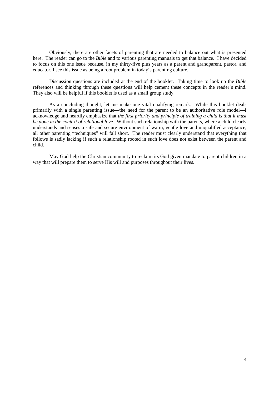Obviously, there are other facets of parenting that are needed to balance out what is presented here. The reader can go to the *Bible* and to various parenting manuals to get that balance. I have decided to focus on this one issue because, in my thirty-five plus years as a parent and grandparent, pastor, and educator, I see this issue as being a root problem in today's parenting culture.

Discussion questions are included at the end of the booklet. Taking time to look up the *Bible* references and thinking through these questions will help cement these concepts in the reader's mind. They also will be helpful if this booklet is used as a small group study.

As a concluding thought, let me make one vital qualifying remark. While this booklet deals primarily with a single parenting issue—the need for the parent to be an authoritative role model—I acknowledge and heartily emphasize that *the first priority and principle of training a child is that it must be done in the context of relational love.* Without such relationship with the parents, where a child clearly understands and senses a safe and secure environment of warm, gentle love and unqualified acceptance, all other parenting "techniques" will fall short. The reader must clearly understand that everything that follows is sadly lacking if such a relationship rooted in such love does not exist between the parent and child.

May God help the Christian community to reclaim its God given mandate to parent children in a way that will prepare them to serve His will and purposes throughout their lives.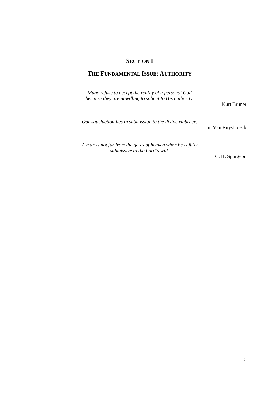## **SECTION I**

## **THE FUNDAMENTAL ISSUE: AUTHORITY**

| Many refuse to accept the reality of a personal God<br>because they are unwilling to submit to His authority. | Kurt Bruner        |
|---------------------------------------------------------------------------------------------------------------|--------------------|
| Our satisfaction lies in submission to the divine embrace.                                                    | Jan Van Ruysbroeck |
| A man is not far from the gates of heaven when he is fully<br>submissive to the Lord's will.                  | C. H. Spurgeon     |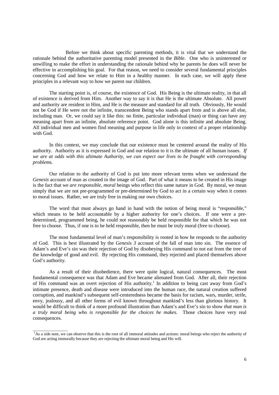Before we think about specific parenting methods, it is vital that we understand the rationale behind the authoritative parenting model presented in the *Bible*. One who is uninterested or unwilling to make the effort in understanding the rationale behind why he parents he does will never be effective in accomplishing his goal. For that reason, we need to consider several fundamental principles concerning God and how we relate to Him in a healthy manner. In each case, we will apply these principles in a relevant way to how we parent our children.

The starting point is, of course, the existence of God. His Being is the ultimate reality, in that all of existence is derived from Him. Another way to say it is that He is the ultimate Absolute. All power and authority are resident in Him, and He is the measure and standard for all truth. Obviously, He would not be God if He were not the infinite, transcendent Being who stands apart from and is above all else, including man. Or, we could say it like this: no finite, particular individual (man) or thing can have any meaning apart from an infinite, absolute reference point. God alone is this infinite and absolute Being. All individual men and women find meaning and purpose in life only in context of a proper relationship with God.

In this context, we may conclude that our existence must be centered around the reality of His authority. Authority as it is expressed in God and our relation to it is the ultimate of all human issues. *If we are at odds with this ultimate Authority, we can expect our lives to be fraught with corresponding problems.* 

Our relation to the authority of God is put into more relevant terms when we understand the *Genesis* account of man as created in the image of God. Part of what it means to be created in His image is the fact that we *are responsible, moral* beings who reflect this same nature in God. By moral, we mean simply that we are not pre-programmed or pre-determined by God to act in a certain way when it comes to moral issues. Rather, we are truly free in making our own choices.

The word that must always go hand in hand with the notion of being moral is "responsible," which means to be held accountable by a higher authority for one's choices. If one were a predetermined, programmed being, he could not reasonably be held responsible for that which he was not free to choose. Thus, if one is to be held responsible, then he must be truly moral (free to choose).

The most fundamental level of man's responsibility is rooted in how he responds to the authority of God. This is best illustrated by the *Genesis 3* account of the fall of man into sin. The essence of Adam's and Eve's sin was their rejection of God by disobeying His command to not eat from the tree of the knowledge of good and evil. By rejecting His command, they rejected and placed themselves above God's authority.

As a result of their disobedience, there were quite logical, natural consequences. The most fundamental consequence was that Adam and Eve became alienated from God. After all, their rejection of His command was an overt rejection of His authority.<sup>1</sup> In addition to being cast away from God's intimate presence, death and disease were introduced into the human race, the natural creation suffered corruption, and mankind's subsequent self-centeredness became the basis for racism, wars, murder, strife, envy, jealousy, and all other forms of evil known throughout mankind's less than glorious history. It would be difficult to think of a more profound illustration than Adam's and Eve's sin to show *that man is a truly moral being who is responsible for the choices he makes*. Those choices have very real consequences.

\_\_\_\_\_\_\_\_\_\_\_\_\_\_\_\_\_

<sup>&</sup>lt;sup>1</sup>As a side note, we can observe that this is the root of all immoral attitudes and actions: moral beings who reject the authority of God are acting immorally because they are rejecting the ultimate moral being and His will.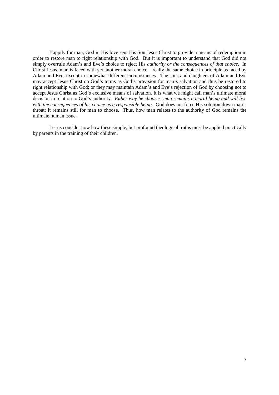Happily for man, God in His love sent His Son Jesus Christ to provide a means of redemption in order to restore man to right relationship with God. But it is important to understand that God did not simply overrule Adam's and Eve's choice to reject His *authority or the consequences of that choice*. In Christ Jesus, man is faced with yet another moral choice – really the same choice in principle as faced by Adam and Eve, except in somewhat different circumstances. The sons and daughters of Adam and Eve may accept Jesus Christ on God's terms as God's provision for man's salvation and thus be restored to right relationship with God; or they may maintain Adam's and Eve's rejection of God by choosing not to accept Jesus Christ as God's exclusive means of salvation. It is what we might call man's ultimate moral decision in relation to God's authority. *Either way he chooses, man remains a moral being and will live with the consequences of his choice as a responsible being*. God does not force His solution down man's throat; it remains still for man to choose. Thus, how man relates to the authority of God remains the ultimate human issue.

Let us consider now how these simple, but profound theological truths must be applied practically by parents in the training of their children.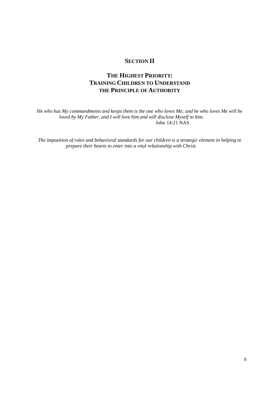## **SECTION II**

## **THE HIGHEST PRIORITY: TRAINING CHILDREN TO UNDERSTAND THE PRINCIPLE OF AUTHORITY**

*He who has My commandments and keeps them is the one who loves Me; and he who loves Me will be loved by My Father, and I will love him and will disclose Myself to him.* John 14:21 NAS

*The imposition of rules and behavioral standards for our children is a strategic element in helping to prepare their hearts to enter into a vital relationship with Christ.*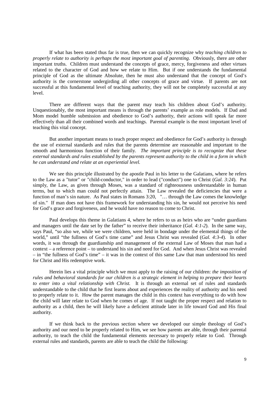If what has been stated thus far is true, then we can quickly recognize why *teaching children to properly relate to authority is perhaps the most important goal of parenting*. Obviously, there are other important truths. Children must understand the concepts of grace, mercy, forgiveness and other virtues related to the character of God and how we relate to Him. But if one understands the fundamental principle of God as the ultimate Absolute, then he must also understand that the concept of God's authority is the cornerstone undergirding all other concepts of grace and virtue. If parents are not successful at this fundamental level of teaching authority, they will not be completely successful at any level.

There are different ways that the parent may teach his children about God's authority. Unquestionably, the most important means is through the parents' example as role models. If Dad and Mom model humble submission and obedience to God's authority, their actions will speak far more effectively than all their combined words and teachings. Parental example is the most important level of teaching this vital concept.

But another important means to teach proper respect and obedience for God's authority is through the use of external standards and rules that the parents determine are reasonable and important to the smooth and harmonious function of their family. *The important principle is to recognize that these external standards and rules established by the parents represent authority to the child in a form in which he can understand and relate at an experiential level.*

We see this principle illustrated by the apostle Paul in his letter to the Galatians, where he refers to the Law as a "tutor" or "child-conductor," in order to lead ("conduct") one to Christ (*Gal. 3:24*). Put simply, the Law, as given through Moses, was a standard of righteousness understandable in human terms, but to which man could not perfectly attain. The Law revealed the deficiencies that were a function of man's sin nature. As Paul states in Romans 3:20, "… through the Law comes the knowledge of sin." If man does not have this framework for understanding his sin, he would not perceive his need for God's grace and forgiveness, and he would have no reason to come to Christ.

Paul develops this theme in Galatians 4, where he refers to us as heirs who are "under guardians and managers until the date set by the father" to receive their inheritance (*Gal. 4:1-2*). In the same way, says Paul, "so also we, while we were children, were held in bondage under the elemental things of the world," until "the fullness of God's time came" and Jesus Christ was revealed (*Gal. 4:3-4*). In other words, it was through the guardianship and management of the external Law of Moses that man had a context – a reference point – to understand his sin and need for God. And when Jesus Christ was revealed – in "the fullness of God's time" – it was in the context of this same Law that man understood his need for Christ and His redemptive work.

Herein lies a vital principle which we must apply to the raising of our children: *the imposition of rules and behavioral standards for our children is a strategic element in helping to prepare their hearts to enter into a vital relationship with Christ.* It is through an external set of rules and standards understandable to the child that he first learns about and experiences the reality of authority and his need to properly relate to it. How the parent manages the child in this context has everything to do with how the child will later relate to God when he comes of age. If not taught the proper respect and relation to authority as a child, then he will likely have a deficient attitude later in life toward God and His final authority.

If we think back to the previous section where we developed our simple theology of God's authority and our need to be properly related to Him, we see how parents are able, through their parental authority, to teach the child the fundamental elements necessary to properly relate to God. Through external rules and standards, parents are able to teach the child the following: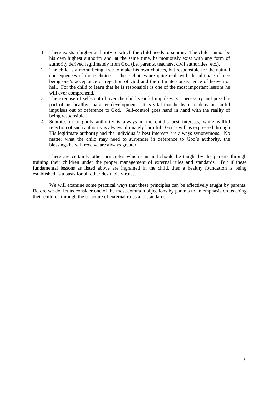- 1. There exists a higher authority to which the child needs to submit. The child cannot be his own highest authority and, at the same time, harmoniously exist with any form of authority derived legitimately from God (i.e. parents, teachers, civil authorities, etc.).
- 2. The child is a moral being, free to make his own choices, but responsible for the natural consequences of those choices. These choices are quite real, with the ultimate choice being one's acceptance or rejection of God and the ultimate consequence of heaven or hell. For the child to learn that he is responsible is one of the most important lessons he will ever comprehend.
- 3. The exercise of self-control over the child's sinful impulses is a necessary and possible part of his healthy character development. It is vital that he learn to deny his sinful impulses out of deference to God. Self-control goes hand in hand with the reality of being responsible.
- 4. Submission to godly authority is always in the child's best interests, while willful rejection of such authority is always ultimately harmful. God's will as expressed through His legitimate authority and the individual's best interests are always synonymous. No matter what the child may need to surrender in deference to God's authority, the blessings he will receive are always greater.

There are certainly other principles which can and should be taught by the parents through training their children under the proper management of external rules and standards. But if these fundamental lessons as listed above are ingrained in the child, then a healthy foundation is being established as a basis for all other desirable virtues.

We will examine some practical ways that these principles can be effectively taught by parents. Before we do, let us consider one of the most common objections by parents to an emphasis on teaching their children through the structure of external rules and standards.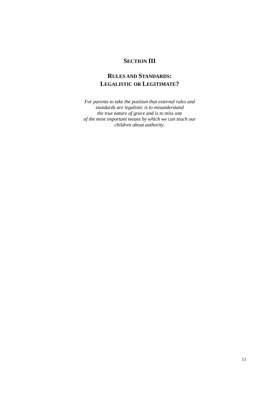## **SECTION III**

## **RULES AND STANDARDS: LEGALISTIC OR LEGITIMATE?**

*For parents to take the position that external rules and standards are legalistic is to misunderstand the true nature of grace and is to miss one of the most important means by which we can teach our children about authority.*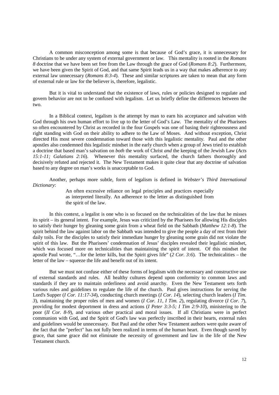A common misconception among some is that because of God's grace, it is unnecessary for Christians to be under any system of external government or law. This mentality is rooted in the *Romans 8* doctrine that we have been set free from the Law through the grace of God (*Romans 8:2*). Furthermore, we have been given the Spirit of God, and that same Spirit leads us in a way that makes adherence to any external law unnecessary (*Romans 8:3-4*). These and similar scriptures are taken to mean that any form of external rule or law for the believer is, therefore, legalistic.

But it is vital to understand that the existence of laws, rules or policies designed to regulate and govern behavior are not to be confused with legalism. Let us briefly define the differences between the two.

In a Biblical context, legalism is the attempt by man to earn his acceptance and salvation with God through his own human effort to live up to the letter of God's Law. The mentality of the Pharisees so often encountered by Christ as recorded in the four Gospels was one of basing their righteousness and right standing with God on their ability to adhere to the Law of Moses. And without exception, Christ directed His most severe condemnation toward those with this legalistic mentality. Paul and the other apostles also condemned this legalistic mindset in the early church when a group of Jews tried to establish a doctrine that based man's salvation on *both* the work of Christ *and* the keeping of the Jewish Law (*Acts 15:1-11; Galatians 2:16*). Whenever this mentality surfaced, the church fathers thoroughly and decisively refuted and rejected it. The New Testament makes it quite clear that any doctrine of salvation based to any degree on man's works is unacceptable to God.

Another, perhaps more subtle, form of legalism is defined in *Webster's Third International Dictionary*:

> An often excessive reliance on legal principles and practices especially as interpreted literally. An adherence to the letter as distinguished from the spirit of the law.

In this context, a legalist is one who is so focused on the technicalities of the law that he misses its spirit – its general intent. For example, Jesus was criticized by the Pharisees for allowing His disciples to satisfy their hunger by gleaning some grain from a wheat field on the Sabbath (*Matthew 12:1-8*). The spirit behind the law against labor on the Sabbath was intended to give the people a day of rest from their daily toils. For the disciples to satisfy their immediate hunger by gleaning some grain did not violate the spirit of this law. But the Pharisees' condemnation of Jesus' disciples revealed their legalistic mindset, which was focused more on technicalities than maintaining the spirit of intent. Of this mindset the apostle Paul wrote, "…for the letter kills, but the Spirit gives life" (*2 Cor. 3:6*). The technicalities – the letter of the law – squeeze the life and benefit out of its intent.

But we must not confuse either of these forms of legalism with the necessary and constructive use of external standards and rules. All healthy cultures depend upon conformity to common laws and standards if they are to maintain orderliness and avoid anarchy. Even the New Testament sets forth various rules and guidelines to regulate the life of the church. Paul gives instructions for serving the Lord's Supper (*I Cor. 11:17-34*), conducting church meetings (*I Cor. 14*), selecting church leaders (*I Tim. 3*), maintaining the proper roles of men and women (*I Cor. 11, I Tim. 2*), regulating divorce (*I Cor. 7*), providing for modest deportment in dress and actions (*I Peter 3:3-5; I Tim 2:9-10*), ministering to the poor (*II Cor. 8-9*), and various other practical and moral issues. If all Christians were in perfect communion with God, and the Spirit of God's law was perfectly inscribed in their hearts, external rules and guidelines would be unnecessary. But Paul and the other New Testament authors were quite aware of the fact that the "perfect" has not fully been realized in terms of the human heart. Even though saved by grace, that same grace did not eliminate the necessity of government and law in the life of the New Testament church.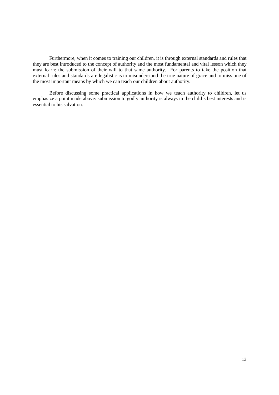Furthermore, when it comes to training our children, it is through external standards and rules that they are best introduced to the concept of authority and the most fundamental and vital lesson which they must learn: the submission of their will to that same authority. For parents to take the position that external rules and standards are legalistic is to misunderstand the true nature of grace and to miss one of the most important means by which we can teach our children about authority.

Before discussing some practical applications in how we teach authority to children, let us emphasize a point made above: submission to godly authority is always in the child's best interests and is essential to his salvation.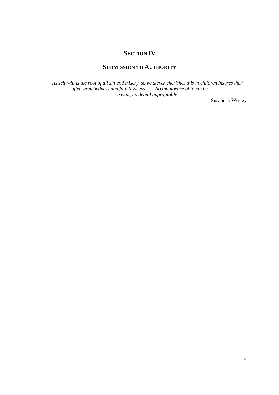## **SECTION IV**

## **SUBMISSION TO AUTHORITY**

*As self-will is the root of all sin and misery, so whatever cherishes this in children insures their after wretchedness and faithlessness. . . . No indulgence of it can be trivial, no denial unprofitable.* 

Susannah Wesley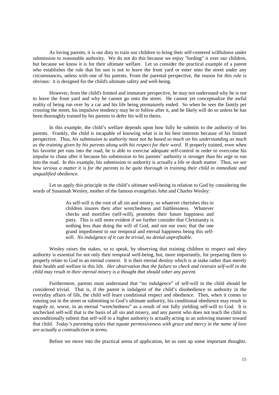As loving parents, it is our duty to train our children to bring their self-centered willfulness under submission to reasonable authority. We do not do this because we enjoy "lording" it over our children, but because we know it is for their ultimate welfare. Let us consider the practical example of a parent who establishes the rule that his son is not to leave the front yard or enter onto the street under any circumstances, unless with one of his parents. From the parental perspective, the reason for this rule is obvious: it is designed for the child's ultimate safety and well-being.

However, from the child's limited and immature perspective, he may not understand why he is not to leave the front yard and why he cannot go onto the street. He cannot yet conceptualize the awful reality of being run over by a car and his life being prematurely ended. So when he sees the family pet crossing the street, his impulsive tendency may be to follow after it, and he likely will do so unless he has been thoroughly trained by his parents to defer his will to theirs.

In this example, the child's welfare depends upon how fully he submits to the authority of his parents. Frankly, the child is incapable of knowing what is in his best interests because of his limited perspective. *Thus, his submission to authority must not be based so much on his understanding as much as the training given by his parents along with his respect for their word.* If properly trained, even when his favorite pet runs into the road, he is able to exercise adequate self-control in order to overcome his impulse to chase after it because his submission to his parents' authority is stronger than his urge to run into the road. In this example, his submission to authority is actually a life or death matter. Thus, *we see how serious a matter it is for the parents to be quite thorough in training their child in immediate and unqualified obedience.* 

Let us apply this principle to the child's ultimate well-being in relation to God by considering the words of Susannah Wesley, mother of the famous evangelists John and Charles Wesley:

> As self-will is the root of all sin and misery, so whatever cherishes this in children insures their after wretchedness and faithlessness. Whatever checks and mortifies (self-will), promotes their future happiness and piety. This is still more evident if we further consider that Christianity is nothing less than doing the will of God, and not our own; that the one grand impediment to our temporal and eternal happiness being this selfwill. *No indulgence of it can be trivial, no denial unprofitable*.

Wesley raises the stakes, so to speak, by observing that training children to respect and obey authority is essential for not only their temporal well-being, but, more importantly, for preparing them to properly relate to God in an eternal context. It is their eternal destiny which is at stake rather than merely their health and welfare in this life. *Her observation that the failure to check and restrain self-will in the child may result in their eternal misery is a thought that should sober any parent.*

Furthermore, parents must understand that "no indulgence" of self-will in the child should be considered trivial. That is, if the parent is indulgent of the child's disobedience to authority in the everyday affairs of life, the child will learn conditional respect and obedience. Then, when it comes to running out in the street or submitting to God's ultimate authority, his conditional obedience may result in tragedy or, worse, in an eternal "wretchedness" as a result of not fully yielding self-will to God. It is unchecked self-will that is the basis of all sin and misery, and any parent who does not teach the child to unconditionally submit that self-will to a higher authority is actually acting in an unloving manner toward that child. *Today's parenting styles that equate permissiveness with grace and mercy in the name of love are actually a contradiction in terms.* 

Before we move into the practical arena of application, let us sum up some important thoughts.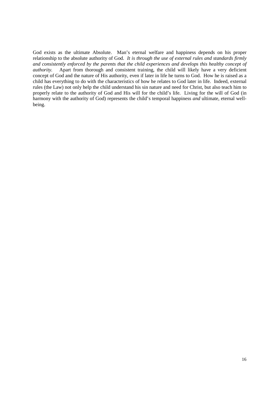God exists as the ultimate Absolute. Man's eternal welfare and happiness depends on his proper relationship to the absolute authority of God. *It is through the use of external rules and standards firmly and consistently enforced by the parents that the child experiences and develops this healthy concept of authority.* Apart from thorough and consistent training, the child will likely have a very deficient concept of God and the nature of His authority, even if later in life he turns to God. How he is raised as a child has everything to do with the characteristics of how he relates to God later in life. Indeed, external rules (the Law) not only help the child understand his sin nature and need for Christ, but also teach him to properly relate to the authority of God and His will for the child's life. Living for the will of God (in harmony with the authority of God) represents the child's temporal happiness *and* ultimate, eternal wellbeing.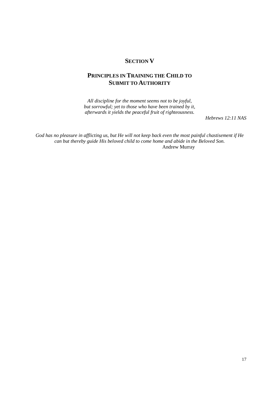## **SECTION V**

## **PRINCIPLES IN TRAINING THE CHILD TO SUBMIT TO AUTHORITY**

*All discipline for the moment seems not to be joyful, but sorrowful; yet to those who have been trained by it, afterwards it yields the peaceful fruit of righteousness.* 

*Hebrews 12:11 NAS*

*God has no pleasure in afflicting us, but He will not keep back even the most painful chastisement if He can but thereby guide His beloved child to come home and abide in the Beloved Son.* Andrew Murray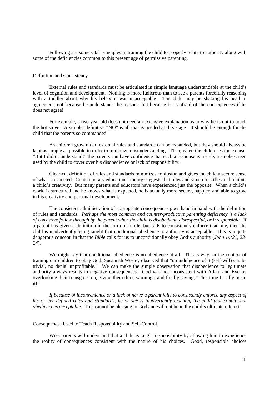Following are some vital principles in training the child to properly relate to authority along with some of the deficiencies common to this present age of permissive parenting.

#### Definition and Consistency

External rules and standards must be articulated in simple language understandable at the child's level of cognition and development. Nothing is more ludicrous than to see a parents forcefully reasoning with a toddler about why his behavior was unacceptable. The child may be shaking his head in agreement, not because he understands the reasons, but because he is afraid of the consequences if he does not agree!

For example, a two year old does not need an extensive explanation as to why he is not to touch the hot stove. A simple, definitive "NO" is all that is needed at this stage. It should be enough for the child that the parents so commanded.

As children grow older, external rules and standards can be expanded, but they should always be kept as simple as possible in order to minimize misunderstanding. Then, when the child uses the excuse, "But I didn't understand!" the parents can have confidence that such a response is merely a smokescreen used by the child to cover over his disobedience or lack of responsibility.

Clear-cut definition of rules and standards minimizes confusion and gives the child a secure sense of what is expected. Contemporary educational theory suggests that rules and structure stifles and inhibits a child's creativity. But many parents and educators have experienced just the opposite. When a child's world is structured and he knows what is expected, he is actually more secure, happier, and able to grow in his creativity and personal development.

The consistent administration of appropriate consequences goes hand in hand with the definition of rules and standards. *Perhaps the most common and counter-productive parenting deficiency is a lack of consistent follow through by the parent when the child is disobedient, disrespectful, or irresponsible.* If a parent has given a definition in the form of a rule, but fails to consistently enforce that rule, then the child is inadvertently being taught that conditional obedience to authority is acceptable. This is a quite dangerous concept, in that the *Bible* calls for us to unconditionally obey God's authority (*John 14:21, 23- 24*).

We might say that conditional obedience is no obedience at all. This is why, in the context of training our children to obey God, Susannah Wesley observed that "no indulgence of it (self-will) can be trivial, no denial unprofitable." We can make the simple observation that disobedience to legitimate authority always results in negative consequences. God was not inconsistent with Adam and Eve by overlooking their transgression, giving them three warnings, and finally saying, "This time I really mean it!"

*If because of inconvenience or a lack of nerve a parent fails to consistently enforce any aspect of his or her defined rules and standards, he or she is inadvertently teaching the child that conditional obedience is acceptable.* This cannot be pleasing to God and will not be in the child's ultimate interests.

#### Consequences Used to Teach Responsibility and Self-Control

Wise parents will understand that a child is taught responsibility by allowing him to experience the reality of consequences consistent with the nature of his choices. Good, responsible choices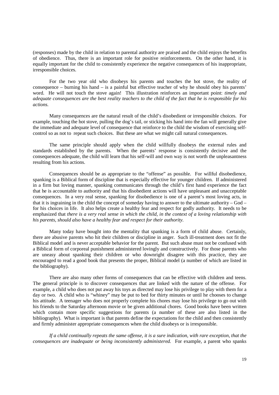(responses) made by the child in relation to parental authority are praised and the child enjoys the benefits of obedience. Thus, there is an important role for positive reinforcements. On the other hand, it is equally important for the child to consistently experience the negative consequences of his inappropriate, irresponsible choices.

For the two year old who disobeys his parents and touches the hot stove, the reality of consequence – burning his hand – is a painful but effective teacher of why he should obey his parents' word. He will not touch the stove again! This illustration reinforces an important point: *timely and adequate consequences are the best reality teachers to the child of the fact that he is responsible for his actions.*

Many consequences are the natural result of the child's disobedient or irresponsible choices. For example, touching the hot stove, pulling the dog's tail, or sticking his hand into the fan will generally give the immediate and adequate level of consequence that reinforce to the child the wisdom of exercising selfcontrol so as not to repeat such choices. But these are what we might call natural consequences.

The same principle should apply when the child willfully disobeys the external rules and standards established by the parents. When the parents' response is consistently decisive and the consequences adequate, the child will learn that his self-will and own way is not worth the unpleasantness resulting from his actions.

Consequences should be as appropriate to the "offense" as possible. For willful disobedience, spanking is a Biblical form of discipline that is especially effective for younger children. If administered in a firm but loving manner, spanking communicates through the child's first hand experience the fact that he is accountable to authority and that his disobedient actions will have unpleasant and unacceptable consequences. In a very real sense, spanking for disobedience is one of a parent's most loving acts, in that it is ingraining in the child the concept of someday having to answer to the ultimate authority – God – for his choices in life. It also helps create a healthy fear and respect for godly authority. It needs to be emphasized that *there is a very real sense in which the child, in the context of a loving relationship with his parents, should also have a healthy fear and respect for their authority.* 

Many today have bought into the mentality that spanking is a form of child abuse. Certainly, there are abusive parents who hit their children or discipline in anger. Such ill-treatment does not fit the Biblical model and is never acceptable behavior for the parent. But such abuse must not be confused with a Biblical form of corporeal punishment administered lovingly and constructively. For those parents who are uneasy about spanking their children or who downright disagree with this practice, they are encouraged to read a good book that presents the proper, Biblical model (a number of which are listed in the bibliography).

There are also many other forms of consequences that can be effective with children and teens. The general principle is to discover consequences that are linked with the nature of the offense. For example, a child who does not put away his toys as directed may lose his privilege to play with them for a day or two. A child who is "whiney" may be put to bed for thirty minutes or until he chooses to change his attitude. A teenager who does not properly complete his chores may lose his privilege to go out with his friends to the Saturday afternoon movie or be given additional chores. Good books have been written which contain more specific suggestions for parents (a number of these are also listed in the bibliography). What is important is that parents define the expectations for the child and then consistently and firmly administer appropriate consequences when the child disobeys or is irresponsible.

*If a child continually repeats the same offense, it is a sure indication, with rare exception, that the consequences are inadequate or being inconsistently administered.* For example, a parent who spanks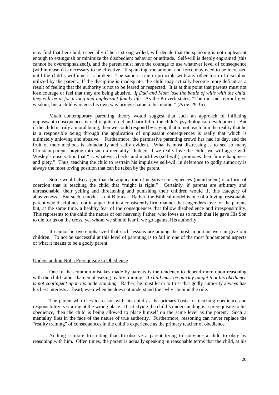may find that her child, especially if he is strong willed, will decide that the spanking is not unpleasant enough to extinguish or minimize the disobedient behavior or attitude. Self-will is deeply engrained (this cannot be overemphasized!), and the parent must have the courage to use whatever level of consequence (within reason) is necessary to be effective. If spanking, the amount and force may need to be increased until the child's willfulness is broken. The same is true in principle with any other form of discipline utilized by the parent. If the discipline is inadequate, the child may actually become more defiant as a result of feeling that the authority is not to be feared or respected. It is at this point that parents must not lose courage or feel that they are being abusive. *If Dad and Mom lose the battle of wills with the child, they will be in for a long and unpleasant family life.* As the Proverb states, "The rod and reproof give wisdom, but a child who gets his own way brings shame to his mother" (*Prov. 29:15*).

Much contemporary parenting theory would suggest that such an approach of inflicting unpleasant consequences is really quite cruel and harmful to the child's psychological development. But if the child is truly a moral being, then we could respond by saying that to not teach him the reality that he is a responsible being through the application of unpleasant consequences is really that which is ultimately unloving and abusive. Furthermore, the permissive parenting crowd has had its day, and the fruit of their methods is abundantly and sadly evident. What is most distressing is to see so many Christian parents buying into such a mentality. Indeed, if we really love the child, we will agree with Wesley's observation that "… whatever checks and mortifies (self-will), promotes their future happiness and piety." Thus, teaching the child to restrain his impulsive self-will in deference to godly authority is always the most loving position that can be taken by the parent.

Some would also argue that the application of negative consequences (punishment) is a form of coercion that is teaching the child that "might is right." Certainly, if parents are arbitrary and unreasonable, their yelling and threatening and punishing their children would fit this category of abusiveness. But such a model is not Biblical. Rather, the Biblical model is one of a loving, reasonable parent who disciplines, not in anger, but in a consistently firm manner that engenders love for the parents but, at the same time, a healthy fear of the consequences that follow disobedience and irresponsibility. This represents to the child the nature of our heavenly Father, who loves us so much that He gave His Son to die for us on the cross, yet whom we should fear if we go against His authority.

It cannot be overemphasized that such lessons are among the most important we can give our children. To not be successful at this level of parenting is to fail in one of the most fundamental aspects of what it means to be a godly parent.

#### Understanding Not a Prerequisite to Obedience

One of the common mistakes made by parents is the tendency to depend more upon reasoning with the child rather than emphasizing reality training. *A child must be quickly taught that his obedience is not contingent upon his understanding.* Rather, he must learn to trust that godly authority always has his best interests at heart, even when he does not understand the "why" behind the rule.

The parent who tries to reason with his child as the primary basis for teaching obedience and responsibility is starting at the wrong place. If satisfying the child's understanding is a prerequisite to his obedience, then the child is being allowed to place himself on the same level as the parent. Such a mentality flies in the face of the nature of true authority. Furthermore, reasoning can never replace the "reality training" of consequences in the child's experience as the primary teacher of obedience.

Nothing is more frustrating than to observe a parent trying to convince a child to obey by reasoning with him. Often times, the parent is actually speaking in reasonable terms that the child, at his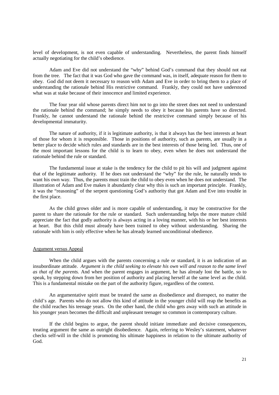level of development, is not even capable of understanding. Nevertheless, the parent finds himself actually negotiating for the child's obedience.

Adam and Eve did not understand the "why" behind God's command that they should not eat from the tree. The fact that it was God who gave the command was, in itself, adequate reason for them to obey. God did not deem it necessary to reason with Adam and Eve in order to bring them to a place of understanding the rationale behind His restrictive command. Frankly, they could not have understood what was at stake because of their innocence and limited experience.

The four year old whose parents direct him not to go into the street does not need to understand the rationale behind the command; he simply needs to obey it because his parents have so directed. Frankly, he cannot understand the rationale behind the restrictive command simply because of his developmental immaturity.

The nature of authority, if it is legitimate authority, is that it always has the best interests at heart of those for whom it is responsible. Those in positions of authority, such as parents, are usually in a better place to decide which rules and standards are in the best interests of those being led. Thus, one of the most important lessons for the child is to learn to obey, even when he does not understand the rationale behind the rule or standard.

The fundamental issue at stake is the tendency for the child to pit his will and judgment against that of the legitimate authority. If he does not understand the "why" for the rule, he naturally tends to want his own way. Thus, the parents must train the child to obey even when he does not understand. The illustration of Adam and Eve makes it abundantly clear why this is such an important principle. Frankly, it was the "reasoning" of the serpent questioning God's authority that got Adam and Eve into trouble in the first place.

As the child grows older and is more capable of understanding, it may be constructive for the parent to share the rationale for the rule or standard. Such understanding helps the more mature child appreciate the fact that godly authority is always acting in a loving manner, with his or her best interests at heart. But this child must already have been trained to obey without understanding. Sharing the rationale with him is only effective when he has already learned unconditional obedience.

#### Argument versus Appeal

When the child argues with the parents concerning a rule or standard, it is an indication of an insubordinate attitude. *Argument is the child seeking to elevate his own will and reason to the same level as that of the parents.* And when the parent engages in argument, he has already lost the battle, so to speak, by stepping down from her position of authority and placing herself at the same level as the child. This is a fundamental mistake on the part of the authority figure, regardless of the context.

An argumentative spirit must be treated the same as disobedience and disrespect, no matter the child's age. Parents who do not allow this kind of attitude in the younger child will reap the benefits as the child reaches his teenage years. On the other hand, the child who gets away with such an attitude in his younger years becomes the difficult and unpleasant teenager so common in contemporary culture.

If the child begins to argue, the parent should initiate immediate and decisive consequences, treating argument the same as outright disobedience. Again, referring to Wesley's statement, whatever checks self-will in the child is promoting his ultimate happiness in relation to the ultimate authority of God.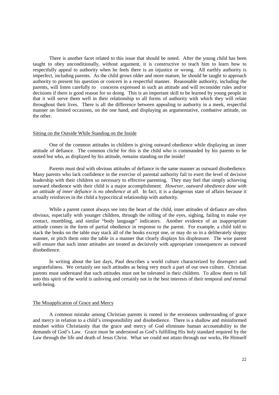There is another facet related to this issue that should be noted. After the young child has been taught to obey unconditionally, without argument, it is constructive to teach him to learn how to respectfully appeal to authority when he feels there is an injustice or wrong. All earthly authority is imperfect, including parents. As the child grows older and more mature, he should be taught to approach authority to present his question or concern in a respectful manner. Reasonable authority, including the parents, will listen carefully to concerns expressed in such an attitude and will reconsider rules and/or decisions if there is good reason for so doing. This is an important skill to be learned by young people in that it will serve them well in their relationship to all forms of authority with which they will relate throughout their lives. There is all the difference between appealing to authority in a meek, respectful manner on limited occasions, on the one hand, and displaying an argumentative, combative attitude, on the other.

#### Sitting on the Outside While Standing on the Inside

One of the common attitudes in children is giving outward obedience while displaying an inner attitude of defiance. The common cliché for this is the child who is commanded by his parents to be seated but who, as displayed by his attitude, remains standing on the inside!

Parents must deal with obvious attitudes of defiance in the same manner as outward disobedience. Many parents who lack confidence in the exercise of parental authority fail to exert the level of decisive leadership with their children so necessary to effective parenting. They may feel that simply achieving outward obedience with their child is a major accomplishment. *However, outward obedience done with an attitude of inner defiance is no obedience at all.* In fact, it is a dangerous state of affairs because it actually reinforces in the child a hypocritical relationship with authority.

While a parent cannot always see into the heart of the child, inner attitudes of defiance are often obvious, especially with younger children, through the rolling of the eyes, sighing, failing to make eye contact, mumbling, and similar "body language" indicators. Another evidence of an inappropriate attitude comes in the form of partial obedience in response to the parent. For example, a child told to stack the books on the table may stack all of the books except one, or may do so in a deliberately sloppy manner, or pitch them onto the table in a manner that clearly displays his displeasure. The wise parent will ensure that such inner attitudes are treated as decisively with appropriate consequences as outward disobedience.

In writing about the last days, Paul describes a world culture characterized by disrespect and ungratefulness. We certainly see such attitudes as being very much a part of our own culture. Christian parents must understand that such attitudes must not be tolerated in their children. To allow them to fall into this spirit of the world is unloving and certainly not in the best interests of their temporal *and* eternal well-being.

#### The Misapplication of Grace and Mercy

A common mistake among Christian parents is rooted in the erroneous understanding of grace and mercy in relation to a child's irresponsibility and disobedience. There is a shallow and misinformed mindset within Christianity that the grace and mercy of God eliminate human accountability to the demands of God's Law. Grace must be understood as God's fulfilling His holy standard required by the Law through the life and death of Jesus Christ. What we could not attain through our works, He Himself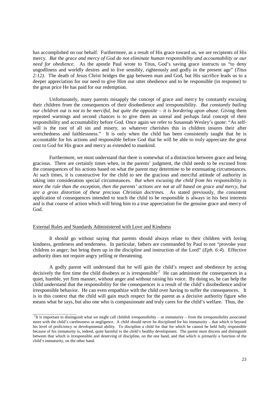has accomplished on our behalf. Furthermore, as a result of His grace toward us, we are recipients of His mercy. *But the grace and mercy of God do not eliminate human responsibility and accountability or our need for obedience.* As the apostle Paul wrote to Titus, God's saving grace instructs us "to deny ungodliness and worldly desires and to live sensibly, righteously and godly in the present age" (*Titus 2:12).* The death of Jesus Christ bridges the gap between man and God, but His sacrifice leads us to a deeper appreciation for our need to give Him our utter obedience and to be responsible (in response) to the great price He has paid for our redemption.

Unfortunately, many parents misapply the concept of grace and mercy by constantly excusing their children from the consequences of their disobedience and irresponsibility. *But constantly bailing our children out is not to be merciful, but quite the opposite – it is bordering upon abuse*. Giving them repeated warnings and second chances is to give them an unreal and perhaps fatal concept of their responsibility and accountability before God. Once again we refer to Susannah Wesley's quote: "As selfwill is the root of all sin and misery, so whatever cherishes this in children insures their after wretchedness and faithlessness." It is only when the child has been consistently taught that he is accountable for his actions and responsible before God that he will be able to truly appreciate the great cost to God for His grace and mercy as extended to mankind.

Furthermore, we must understand that there is somewhat of a distinction between grace and being gracious. There are certainly times when, in the parents' judgment, the child needs to be excused from the consequences of his actions based on what the parent may determine to be extenuating circumstances. At such times, it is constructive for the child to see the gracious and merciful attitude of authority in taking into consideration special circumstances. *But when excusing the child from his responsibility is more the rule than the exception, then the parents' actions are not at all based on grace and mercy, but are a gross distortion of these precious Christian doctrines.* As stated previously, the consistent application of consequences intended to teach the child to be responsible is always in his best interests and is that course of action which will bring him to a true appreciation for the genuine grace and mercy of God.

#### External Rules and Standards Administered with Love and Kindness

\_\_\_\_\_\_\_\_\_\_\_\_\_\_\_\_\_\_\_\_\_\_\_\_

It should go without saying that parents should always relate to their children with loving kindness, gentleness and tenderness. In particular, fathers are commanded by Paul to not "provoke your children to anger; but bring them up in the discipline and instruction of the Lord" (*Eph. 6:4*). Effective authority does not require angry yelling or threatening.

A godly parent will understand that he will gain the child's respect and obedience by acting decisively the first time the child disobeys or is irresponsible<sup>2</sup> He can administer the consequences in a quiet, humble, yet firm manner, without anger and without raising his voice. By doing so, he can help the child understand that the responsibility for the consequences is a result of the child's disobedience and/or irresponsible behavior. He can even empathize with the child over having to suffer the consequences. It is in this context that the child will gain much respect for the parent as a decisive authority figure who means what he says, but also one who is compassionate and truly cares for the child's welfare. Thus, the

 ${}^{2}$ It is important to distinguish what we might call childish irresponsibility – or immaturity – from the irresponsibility associated more with the child's carelessness or negligence. A child should never be disciplined for his immaturity – that which is beyond his level of proficiency or developmental ability. To discipline a child for that for which he cannot be held fully responsible because of his immaturity is, indeed, quite harmful to the child's healthy development. The parent must discern and distinguish between that which is irresponsible and deserving of discipline, on the one hand, and that which is primarily a function of the child's immaturity, on the other hand.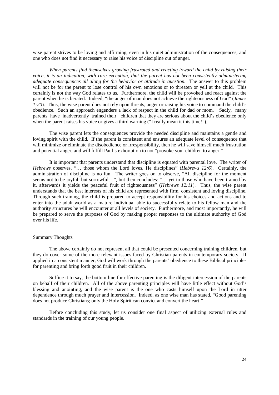wise parent strives to be loving and affirming, even in his quiet administration of the consequences, and one who does not find it necessary to raise his voice of discipline out of anger.

*When parents find themselves growing frustrated and reacting toward the child by raising their voice, it is an indication, with rare exception, that the parent has not been consistently administering adequate consequences all along for the behavior or attitude in question.* The answer to this problem will not be for the parent to lose control of his own emotions or to threaten or yell at the child. This certainly is not the way God relates to us. Furthermore, the child will be provoked and react against the parent when he is berated. Indeed, "the anger of man does not achieve the righteousness of God" (*James 1:20*). Thus, the wise parent does not rely upon threats, anger or raising his voice to command the child's obedience. Such an approach engenders a lack of respect in the child for dad or mom. Sadly, many parents have inadvertently trained their children that they are serious about the child's obedience only when the parent raises his voice or gives a third warning ("I really mean it this time!").

The wise parent lets the consequences provide the needed discipline and maintains a gentle and loving spirit with the child. If the parent is consistent and ensures an adequate level of consequence that will minimize or eliminate the disobedience or irresponsibility, then he will save himself much frustration and potential anger, and will fulfill Paul's exhortation to not "provoke your children to anger."

It is important that parents understand that discipline is equated with parental love. The writer of *Hebrews* observes, "… those whom the Lord loves, He disciplines" (*Hebrews 12:6*). Certainly, the administration of discipline is no fun. The writer goes on to observe, "All discipline for the moment seems not to be joyful, but sorrowful…", but then concludes: "... yet to those who have been trained by it, afterwards it yields the peaceful fruit of righteousness" (*Hebrews 12:11*). Thus, the wise parent understands that the best interests of his child are represented with firm, consistent and loving discipline. Through such training, the child is prepared to accept responsibility for his choices and actions and to enter into the adult world as a mature individual able to successfully relate to his fellow man and the authority structures he will encounter at all levels of society. Furthermore, and most importantly, he will be prepared to serve the purposes of God by making proper responses to the ultimate authority of God over his life.

#### Summary Thoughts

The above certainly do not represent all that could be presented concerning training children, but they do cover some of the more relevant issues faced by Christian parents in contemporary society. If applied in a consistent manner, God will work through the parents' obedience to these Biblical principles for parenting and bring forth good fruit in their children.

Suffice it to say, the bottom line for effective parenting is the diligent intercession of the parents on behalf of their children. All of the above parenting principles will have little effect without God's blessing and anointing, and the wise parent is the one who casts himself upon the Lord in utter dependence through much prayer and intercession. Indeed, as one wise man has stated, "Good parenting does not produce Christians; only the Holy Spirit can convict and convert the heart!"

Before concluding this study, let us consider one final aspect of utilizing external rules and standards in the training of our young people.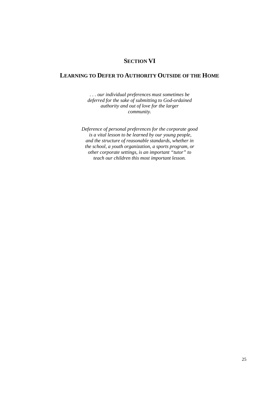## **SECTION VI**

### **LEARNING TO DEFER TO AUTHORITY OUTSIDE OF THE HOME**

*. . . our individual preferences must sometimes be deferred for the sake of submitting to God-ordained authority and out of love for the larger community.* 

*Deference of personal preferences for the corporate good is a vital lesson to be learned by our young people, and the structure of reasonable standards, whether in the school, a youth organization, a sports program, or other corporate settings, is an important "tutor" to teach our children this most important lesson.*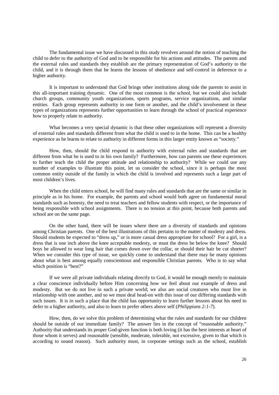The fundamental issue we have discussed in this study revolves around the notion of teaching the child to defer to the authority of God and to be responsible for his actions and attitudes. The parents and the external rules and standards they establish are the primary representation of God's authority to the child, and it is through them that he learns the lessons of obedience and self-control in deference to a higher authority.

It is important to understand that God brings other institutions along side the parents to assist in this all-important training dynamic. One of the most common is the school, but we could also include church groups, community youth organizations, sports programs, service organizations, and similar entities. Each group represents authority in one form or another, and the child's involvement in these types of organizations represents further opportunities to learn through the school of practical experience how to properly relate to authority.

What becomes a very special dynamic is that these other organizations will represent a diversity of external rules and standards different from what the child is used to in the home. This can be a healthy experience as he learns to relate to authority in different forms in this larger entity known as "society."

How, then, should the child respond to authority with external rules and standards that are different from what he is used to in his own family? Furthermore, how can parents use these experiences to further teach the child the proper attitude and relationship to authority? While we could use any number of examples to illustrate this point, let us consider the school, since it is perhaps the most common entity outside of the family in which the child is involved and represents such a large part of most children's lives.

When the child enters school, he will find many rules and standards that are the same or similar in principle as in his home. For example, the parents and school would both agree on fundamental moral standards such as honesty, the need to treat teachers and fellow students with respect, or the importance of being responsible with school assignments. There is no tension at this point, because both parents and school are on the same page.

On the other hand, there will be issues where there are a diversity of standards and opinions among Christian parents. One of the best illustrations of this pertains to the matter of modesty and dress. Should students be expected to "dress up," or is more casual dress appropriate for school? For a girl, is a dress that is one inch above the knee acceptable modesty, or must the dress be below the knee? Should boys be allowed to wear long hair that comes down over the collar, or should their hair be cut shorter? When we consider this type of issue, we quickly come to understand that there may be many opinions about what is best among equally conscientious and responsible Christian parents. Who is to say what which position is "best?"

If we were all private individuals relating directly to God, it would be enough merely to maintain a clear conscience individually before Him concerning how we feel about our example of dress and modesty. But we do not live in such a private world; we also are social creatures who must live in relationship with one another, and so we must deal head-on with this issue of our differing standards with such issues. It is in such a place that the child has opportunity to learn further lessons about his need to defer to a higher authority, and also to learn to prefer others above self (*Philippians 2:1-7*).

How, then, do we solve this problem of determining what the rules and standards for our children should be outside of our immediate family? The answer lies in the concept of "reasonable authority." Authority that understands its proper God-given function is both loving (it has the best interests at heart of those whom it serves) and reasonable (sensible, moderate, tolerable, not excessive, given to that which is according to sound reason). Such authority must, in corporate settings such as the school, establish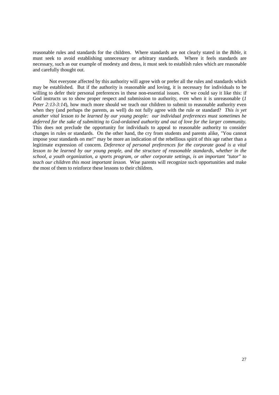reasonable rules and standards for the children. Where standards are not clearly stated in the *Bible*, it must seek to avoid establishing unnecessary or arbitrary standards. Where it feels standards are necessary, such as our example of modesty and dress, it must seek to establish rules which are reasonable and carefully thought out.

Not everyone affected by this authority will agree with or prefer all the rules and standards which may be established. But if the authority is reasonable and loving, it is necessary for individuals to be willing to defer their personal preferences in these non-essential issues. Or we could say it like this: if God instructs us to show proper respect and submission to authority, even when it is unreasonable (*1 Peter 2:13-3:14*), how much more should we teach our children to submit to reasonable authority even when they (and perhaps the parents, as well) do not fully agree with the rule or standard? *This is yet another vital lesson to be learned by our young people: our individual preferences must sometimes be deferred for the sake of submitting to God-ordained authority and out of love for the larger community.* This does not preclude the opportunity for individuals to appeal to reasonable authority to consider changes in rules or standards. On the other hand, the cry from students and parents alike, "You cannot impose your standards on me!" may be more an indication of the rebellious spirit of this age rather than a legitimate expression of concern. *Deference of personal preferences for the corporate good is a vital*  lesson to be learned by our young people, and the structure of reasonable standards, whether in the *school, a youth organization, a sports program, or other corporate settings, is an important "tutor" to teach our children this most important lesson.* Wise parents will recognize such opportunities and make the most of them to reinforce these lessons to their children.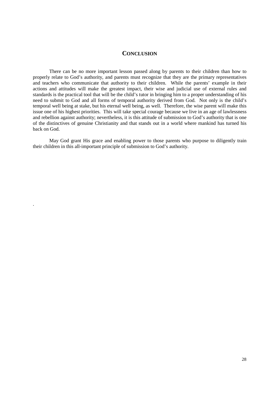#### **CONCLUSION**

There can be no more important lesson passed along by parents to their children than how to properly relate to God's authority, and parents must recognize that they are the primary representatives and teachers who communicate that authority to their children. While the parents' example in their actions and attitudes will make the greatest impact, their wise and judicial use of external rules and standards is the practical tool that will be the child's tutor in bringing him to a proper understanding of his need to submit to God and all forms of temporal authority derived from God. Not only is the child's temporal well being at stake, but his eternal well being, as well. Therefore, the wise parent will make this issue one of his highest priorities. This will take special courage because we live in an age of lawlessness and rebellion against authority; nevertheless, it is this attitude of submission to God's authority that is one of the distinctives of genuine Christianity and that stands out in a world where mankind has turned his back on God.

May God grant His grace and enabling power to those parents who purpose to diligently train their children in this all-important principle of submission to God's authority.

.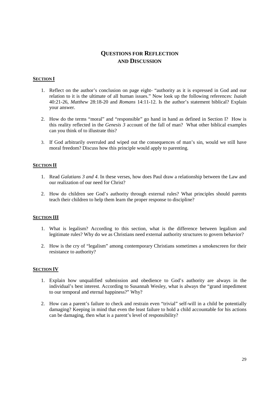## **QUESTIONS FOR REFLECTION AND DISCUSSION**

#### **SECTION I**

- 1. Reflect on the author's conclusion on page eight- "authority as it is expressed in God and our relation to it is the ultimate of all human issues." Now look up the following references: *Isaiah* 40:21-26, *Matthew* 28:18-20 and *Romans* 14:11-12. Is the author's statement biblical? Explain your answer.
- 2. How do the terms "moral" and "responsible" go hand in hand as defined in Section I? How is this reality reflected in the *Genesis 3* account of the fall of man? What other biblical examples can you think of to illustrate this?
- 3. If God arbitrarily overruled and wiped out the consequences of man's sin, would we still have moral freedom? Discuss how this principle would apply to parenting.

#### **SECTION II**

- 1. Read *Galatians 3 and 4*. In these verses, how does Paul draw a relationship between the Law and our realization of our need for Christ?
- 2. How do children see God's authority through external rules? What principles should parents teach their children to help them learn the proper response to discipline?

#### **SECTION III**

- 1. What is legalism? According to this section, what is the difference between legalism and legitimate rules? Why do we as Christians need external authority structures to govern behavior?
- 2. How is the cry of "legalism" among contemporary Christians sometimes a smokescreen for their resistance to authority?

#### **SECTION IV**

- 1. Explain how unqualified submission and obedience to God's authority are always in the individual's best interest. According to Susannah Wesley, what is always the "grand impediment to our temporal and eternal happiness?" Why?
- 2. How can a parent's failure to check and restrain even "trivial" self-will in a child be potentially damaging? Keeping in mind that even the least failure to hold a child accountable for his actions can be damaging, then what is a parent's level of responsibility?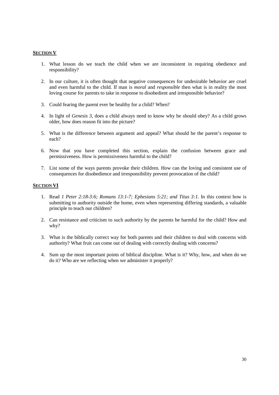#### **SECTION V**

- 1. What lesson do we teach the child when we are inconsistent in requiring obedience and responsibility?
- 2. In our culture, it is often thought that negative consequences for undesirable behavior are cruel and even harmful to the child. If man is *moral* and *responsible* then what is in reality the most loving course for parents to take in response to disobedient and irresponsible behavior?
- 3. Could fearing the parent ever be healthy for a child? When?
- 4. In light of *Genesis 3*, does a child always need to know why he should obey? As a child grows older, how does reason fit into the picture?
- 5. What is the difference between argument and appeal? What should be the parent's response to each?
- 6. Now that you have completed this section, explain the confusion between grace and permissiveness. How is permissiveness harmful to the child?
- 7. List some of the ways parents provoke their children. How can the loving and consistent use of consequences for disobedience and irresponsibility prevent provocation of the child?

#### **SECTION VI**

- 1. Read *1 Peter 2:18-3:6; Romans 13:1-7; Ephesians 5:21; and Titus 3:1.* In this context how is submitting to authority outside the home, even when representing differing standards, a valuable principle to teach our children?
- 2. Can resistance and criticism to such authority by the parents be harmful for the child? How and why?
- 3. What is the biblically correct way for both parents and their children to deal with concerns with authority? What fruit can come out of dealing with correctly dealing with concerns?
- 4. Sum up the most important points of biblical discipline. What is it? Why, how, and when do we do it? Who are we reflecting when we administer it properly?